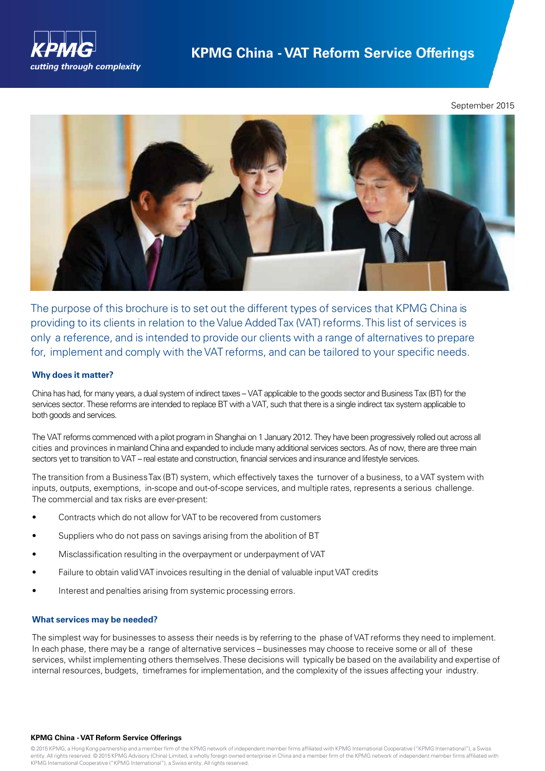

September 2015



The purpose of this brochure is to set out the different types of services that KPMG China is providing to its clients in relation to theValue AddedTax (VAT) reforms.This list of services is only a reference, and is intended to provide our clients with a range of alternatives to prepare for, implement and comply with the VAT reforms, and can be tailored to your specific needs.

# **Why does it matter?**

China has had, for many years, a dual system of indirect taxes – VAT applicable to the goods sector and Business Tax (BT) for the services sector. These reforms are intended to replace BT with a VAT, such that there is a single indirect tax system applicable to both goods and services.

The VAT reforms commenced with a pilot program in Shanghai on 1 January 2012. They have been progressively rolled out across all cities and provinces in mainland China and expanded to include many additional services sectors. As of now, there are three main sectors yet to transition to VAT – real estate and construction, financial services and insurance and lifestyle services.

The transition from a BusinessTax (BT) system, which effectively taxes the turnover of a business, to a VAT system with inputs, outputs, exemptions, in-scope and out-of-scope services, and multiple rates, represents a serious challenge. The commercial and tax risks are ever-present:

- Contracts which do not allow forVAT to be recovered from customers
- Suppliers who do not pass on savings arising from the abolition of BT
- Misclassification resulting in the overpayment or underpayment of VAT
- Failure to obtain valid VAT invoices resulting in the denial of valuable input VAT credits
- Interest and penalties arising from systemic processing errors.

### **What services may be needed?**

The simplest way for businesses to assess their needs is by referring to the phase ofVAT reforms they need to implement. In each phase, there may be a range of alternative services – businesses may choose to receive some or all of these services, whilst implementing others themselves.These decisions will typically be based on the availability and expertise of internal resources, budgets, timeframes for implementation, and the complexity of the issues affecting your industry.

### **KPMG China - VAT Reform Service Offerings**

© 2015 KPMG, a Hong Kong partnership and a member firm of the KPMG network of independent member firms affiliated with KPMG International Cooperative ("KPMG International"), a Swiss entity. All rights reserved. © 2015 KPMG Advisory (China) Limited, a wholly foreign owned enterprise in China and a member firm of the KPMG network of independent member firms affiliated with KPMG International Cooperative ("KPMG International"), a Swiss entity. All rights reserved.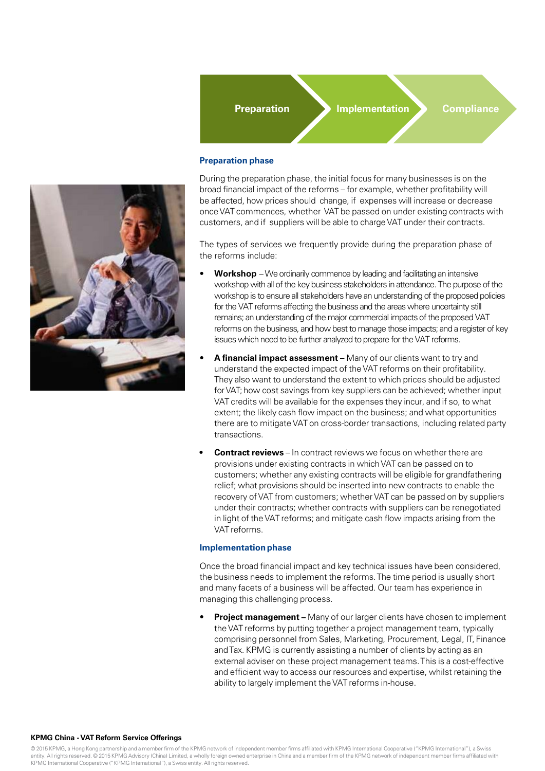

**Preparation Implementation Compliance** 

### **Preparation phase**

During the preparation phase, the initial focus for many businesses is on the broad financial impact of the reforms – for example, whether profitability will be affected, how prices should change, if expenses will increase or decrease onceVAT commences, whether VAT be passed on under existing contracts with customers, and if suppliers will be able to charge VAT under their contracts.

The types of services we frequently provide during the preparation phase of the reforms include:

- **Workshop** We ordinarily commence by leading and facilitating an intensive workshop with all of the key business stakeholders in attendance. The purpose of the workshop is to ensure all stakeholders have an understanding of the proposed policies for the VAT reforms affecting the business and the areas where uncertainty still remains; an understanding of the major commercial impacts of the proposed VAT reforms on the business, and how best to manage those impacts; and a register of key issues which need to be further analyzed to prepare for the VAT reforms.
- **A financial impact assessment** Many of our clients want to try and understand the expected impact of the VAT reforms on their profitability. They also want to understand the extent to which prices should be adjusted forVAT; how cost savings from key suppliers can be achieved; whether input VAT credits will be available for the expenses they incur, and if so, to what extent; the likely cash flow impact on the business; and what opportunities there are to mitigate VAT on cross-border transactions, including related party transactions.
- **• Contract reviews** In contract reviews we focus on whether there are provisions under existing contracts in whichVAT can be passed on to customers; whether any existing contracts will be eligible for grandfathering relief; what provisions should be inserted into new contracts to enable the recovery of VAT from customers; whether VAT can be passed on by suppliers under their contracts; whether contracts with suppliers can be renegotiated in light of the VAT reforms; and mitigate cash flow impacts arising from the VAT reforms.

### **Implementation phase**

Once the broad financial impact and key technical issues have been considered, the business needs to implement the reforms.The time period is usually short and many facets of a business will be affected. Our team has experience in managing this challenging process.

**Project management** – Many of our larger clients have chosen to implement the VAT reforms by putting together a project management team, typically comprising personnel from Sales, Marketing, Procurement, Legal, IT, Finance andTax. KPMG is currently assisting a number of clients by acting as an external adviser on these project management teams.This is a cost-effective and efficient way to access our resources and expertise, whilst retaining the ability to largely implement the VAT reforms in-house.

### **KPMG China -VAT Reform Service Offerings**

© 2015 KPMG, a Hong Kong partnership and a member firm of the KPMG network of independent member firms affiliated with KPMG International Cooperative ("KPMG International"), a Swiss entity. All rights reserved. © 2015 KPMG Advisory (China) Limited, a wholly foreign owned enterprise in China and a member firm of the KPMG network of independent member firms affiliated with KPMG International Cooperative ("KPMG International"), a Swiss entity. All rights reserved.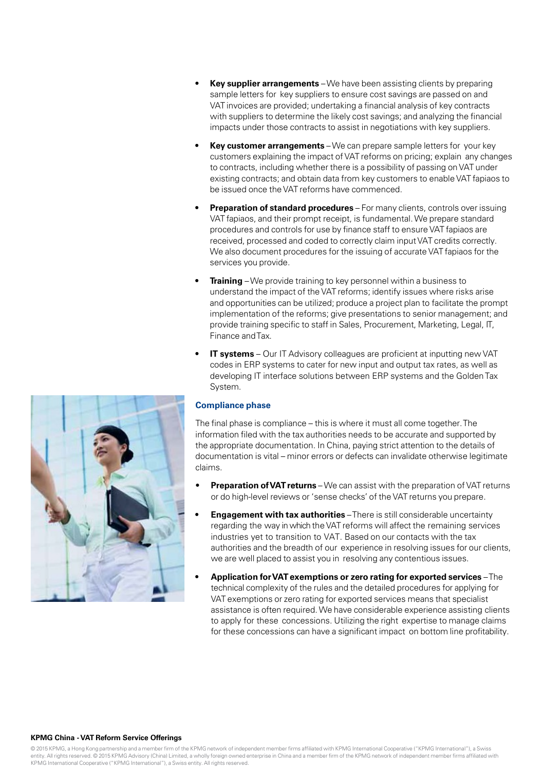- **• Key supplier arrangements** –We have been assisting clients by preparing sample letters for key suppliers to ensure cost savings are passed on and VAT invoices are provided; undertaking a financial analysis of key contracts with suppliers to determine the likely cost savings; and analyzing the financial impacts under those contracts to assist in negotiations with key suppliers.
- **• Key customer arrangements** –We can prepare sample letters for your key customers explaining the impact of VAT reforms on pricing; explain any changes to contracts, including whether there is a possibility of passing on VAT under existing contracts; and obtain data from key customers to enable VAT fapiaos to be issued once the VAT reforms have commenced.
- **• Preparation of standard procedures** For many clients, controls over issuing VAT fapiaos, and their prompt receipt, is fundamental.We prepare standard procedures and controls for use by finance staff to ensure VAT fapiaos are received, processed and coded to correctly claim inputVAT credits correctly. We also document procedures for the issuing of accurate VAT fapiaos for the services you provide.
- **• Training** –We provide training to key personnel within a business to understand the impact of the VAT reforms; identify issues where risks arise and opportunities can be utilized; produce a project plan to facilitate the prompt implementation of the reforms; give presentations to senior management; and provide training specific to staff in Sales, Procurement, Marketing, Legal, IT, Finance andTax.
- **IT systems** Our IT Advisory colleagues are proficient at inputting new VAT codes in ERP systems to cater for new input and output tax rates, as well as developing IT interface solutions between ERP systems and the Golden Tax System.

# **Compliance phase**

The final phase is compliance – this is where it must all come together.The information filed with the tax authorities needs to be accurate and supported by the appropriate documentation. In China, paying strict attention to the details of documentation is vital – minor errors or defects can invalidate otherwise legitimate claims.

- **Preparation of VAT returns** We can assist with the preparation of VAT returns or do high-level reviews or 'sense checks' of the VAT returns you prepare.
- **• Engagement with tax authorities** –There is still considerable uncertainty regarding the way in which the VAT reforms will affect the remaining services industries yet to transition to VAT. Based on our contacts with the tax authorities and the breadth of our experience in resolving issues for our clients, we are well placed to assist you in resolving any contentious issues.
- **• Application forVATexemptions or zero rating for exported services** –The technical complexity of the rules and the detailed procedures for applying for VAT exemptions or zero rating for exported services means that specialist assistance is often required.We have considerable experience assisting clients to apply for these concessions. Utilizing the right expertise to manage claims for these concessions can have a significant impact on bottom line profitability.



### **KPMG China -VAT Reform Service Offerings**

© 2015 KPMG, a Hong Kong partnership and a member firm of the KPMG network of independent member firms affiliated with KPMG International Cooperative ("KPMG International"), a Swiss entity. All rights reserved. © 2015 KPMG Advisory (China) Limited, a wholly foreign owned enterprise in China and a member firm of the KPMG network of independent member firms affiliated with KPMG International Cooperative ("KPMG International"), a Swiss entity. All rights reserved.